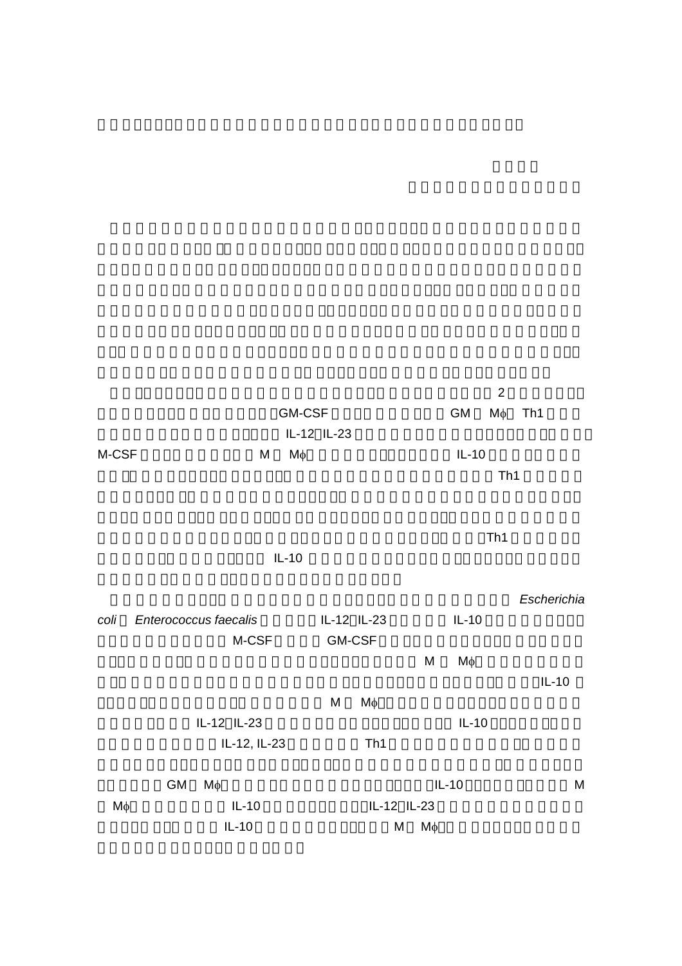|       |    |                       |               |               |             |   |         |           | $\overline{2}$ |             |
|-------|----|-----------------------|---------------|---------------|-------------|---|---------|-----------|----------------|-------------|
|       |    |                       | <b>GM-CSF</b> |               |             |   |         | <b>GM</b> | $M\phi$        | Th1         |
|       |    |                       | IL-12 IL-23   |               |             |   |         |           |                |             |
| M-CSF |    |                       | M<br>Мφ       |               |             |   | $IL-10$ |           |                |             |
|       |    |                       |               |               |             |   |         |           | Th1            |             |
|       |    |                       |               |               |             |   |         |           |                |             |
|       |    |                       |               |               |             |   |         |           | Th1            |             |
|       |    |                       |               | $IL-10$       |             |   |         |           |                |             |
|       |    |                       |               |               |             |   |         |           |                |             |
|       |    |                       |               |               |             |   |         |           |                | Escherichia |
| coli  |    | Enterococcus faecalis |               |               | IL-12 IL-23 |   |         | $IL-10$   |                |             |
|       |    | M-CSF                 |               | <b>GM-CSF</b> |             |   |         |           |                |             |
|       |    |                       |               |               |             |   | M       | Мφ        |                |             |
|       |    |                       |               |               |             |   |         |           |                | $IL-10$     |
|       |    | IL-12 IL-23           |               | M             | Мφ          |   |         | $IL-10$   |                |             |
|       |    | IL-12, IL-23          |               |               | Th1         |   |         |           |                |             |
|       |    |                       |               |               |             |   |         |           |                |             |
|       | GM | Мφ                    |               |               |             |   | $IL-10$ |           |                | M           |
| Мφ    |    | $IL-10$               | IL-12 IL-23   |               |             |   |         |           |                |             |
|       |    | $IL-10$               |               |               |             | M | Мφ      |           |                |             |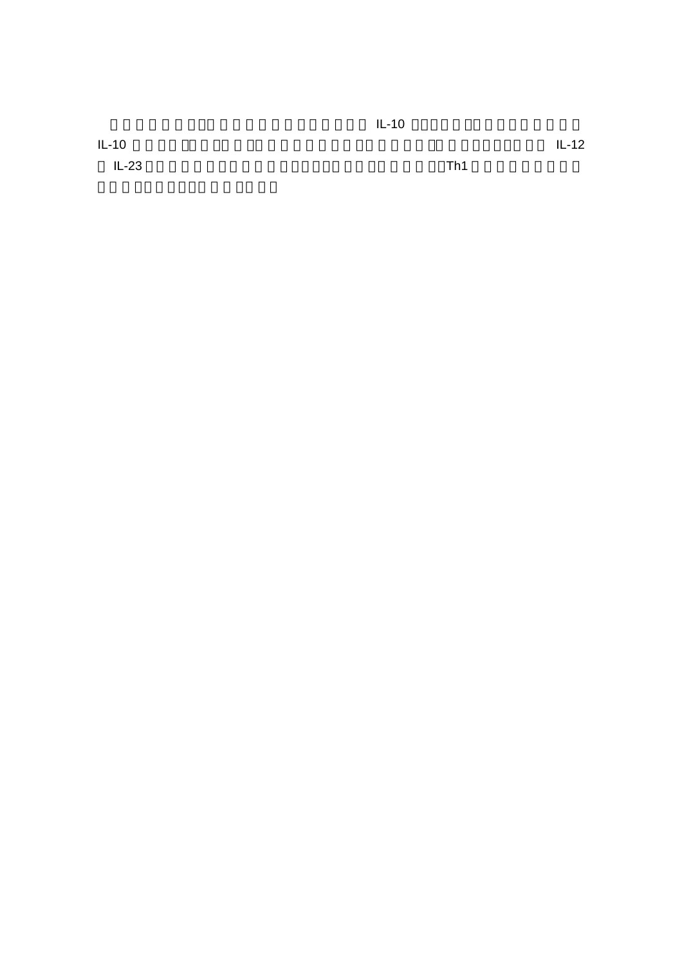$\mathsf{IL}\text{-10}$   $\blacksquare$ 

 $\text{IL-10}$ 

IL-23 を過剰産生する炎症性のマクロファージへと異常分化し、Th1 型の慢性腸炎の発症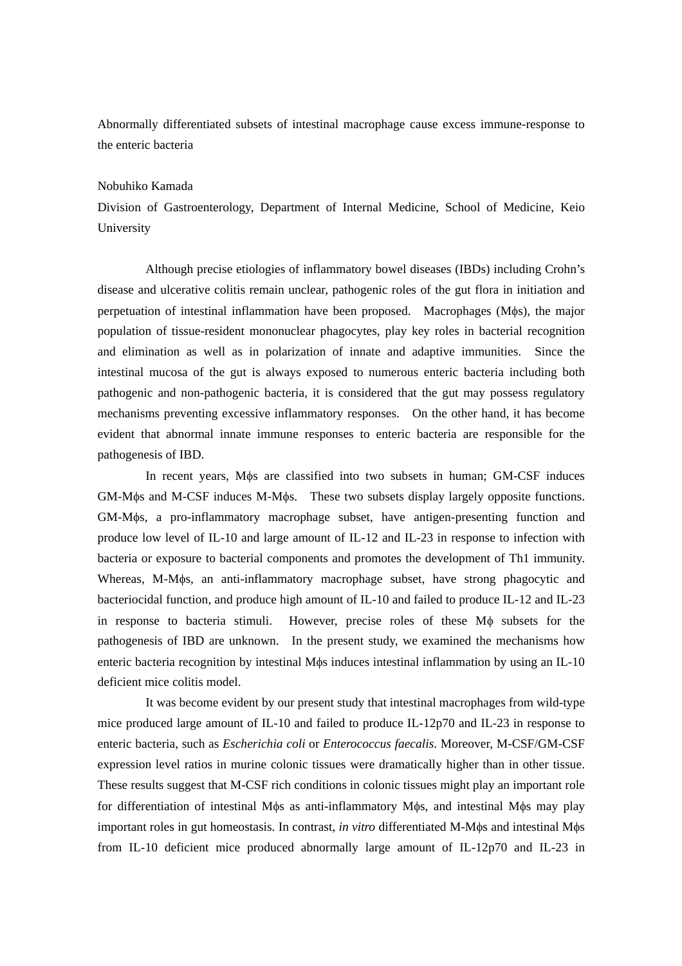Abnormally differentiated subsets of intestinal macrophage cause excess immune-response to the enteric bacteria

## Nobuhiko Kamada

Division of Gastroenterology, Department of Internal Medicine, School of Medicine, Keio University

Although precise etiologies of inflammatory bowel diseases (IBDs) including Crohn's disease and ulcerative colitis remain unclear, pathogenic roles of the gut flora in initiation and perpetuation of intestinal inflammation have been proposed. Macrophages (Mφs), the major population of tissue-resident mononuclear phagocytes, play key roles in bacterial recognition and elimination as well as in polarization of innate and adaptive immunities. Since the intestinal mucosa of the gut is always exposed to numerous enteric bacteria including both pathogenic and non-pathogenic bacteria, it is considered that the gut may possess regulatory mechanisms preventing excessive inflammatory responses. On the other hand, it has become evident that abnormal innate immune responses to enteric bacteria are responsible for the pathogenesis of IBD.

In recent years, Mφs are classified into two subsets in human; GM-CSF induces GM-Mφs and M-CSF induces M-Mφs. These two subsets display largely opposite functions. GM-Mφs, a pro-inflammatory macrophage subset, have antigen-presenting function and produce low level of IL-10 and large amount of IL-12 and IL-23 in response to infection with bacteria or exposure to bacterial components and promotes the development of Th1 immunity. Whereas, M-M<sub>0</sub> and anti-inflammatory macrophage subset, have strong phagocytic and bacteriocidal function, and produce high amount of IL-10 and failed to produce IL-12 and IL-23 in response to bacteria stimuli. However, precise roles of these Mφ subsets for the pathogenesis of IBD are unknown. In the present study, we examined the mechanisms how enteric bacteria recognition by intestinal Mφs induces intestinal inflammation by using an IL-10 deficient mice colitis model.

It was become evident by our present study that intestinal macrophages from wild-type mice produced large amount of IL-10 and failed to produce IL-12p70 and IL-23 in response to enteric bacteria, such as *Escherichia coli* or *Enterococcus faecalis*. Moreover, M-CSF/GM-CSF expression level ratios in murine colonic tissues were dramatically higher than in other tissue. These results suggest that M-CSF rich conditions in colonic tissues might play an important role for differentiation of intestinal Mφs as anti-inflammatory Mφs, and intestinal Mφs may play important roles in gut homeostasis. In contrast, *in vitro* differentiated M-Mφs and intestinal Mφs from IL-10 deficient mice produced abnormally large amount of IL-12p70 and IL-23 in